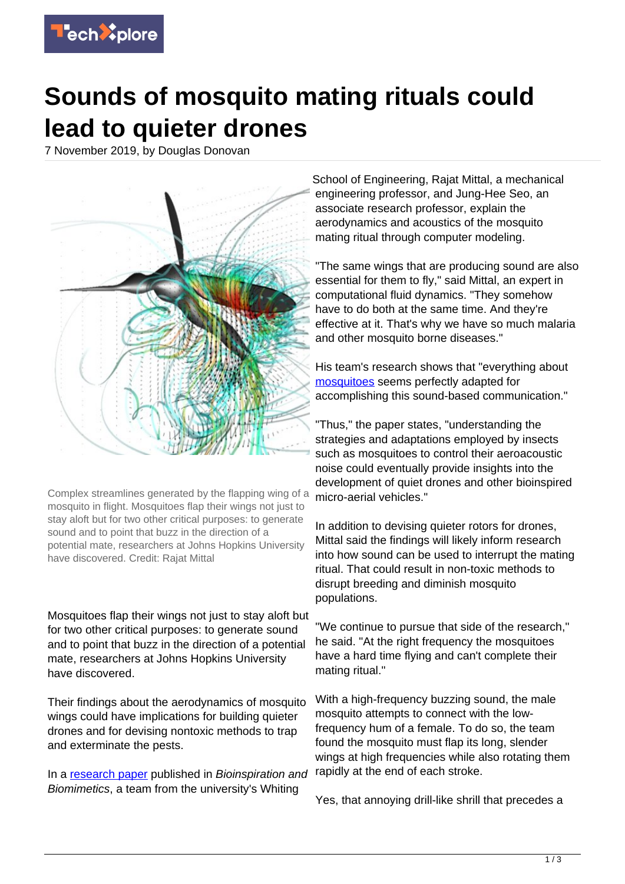

## **Sounds of mosquito mating rituals could lead to quieter drones**

7 November 2019, by Douglas Donovan



Complex streamlines generated by the flapping wing of a mosquito in flight. Mosquitoes flap their wings not just to stay aloft but for two other critical purposes: to generate sound and to point that buzz in the direction of a potential mate, researchers at Johns Hopkins University have discovered. Credit: Rajat Mittal

Mosquitoes flap their wings not just to stay aloft but for two other critical purposes: to generate sound and to point that buzz in the direction of a potential mate, researchers at Johns Hopkins University have discovered.

Their findings about the aerodynamics of mosquito wings could have implications for building quieter drones and for devising nontoxic methods to trap and exterminate the pests.

In a [research paper](https://techxplore.com/tags/research+paper/) published in Bioinspiration and Biomimetics, a team from the university's Whiting

School of Engineering, Rajat Mittal, a mechanical engineering professor, and Jung-Hee Seo, an associate research professor, explain the aerodynamics and acoustics of the mosquito mating ritual through computer modeling.

"The same wings that are producing sound are also essential for them to fly," said Mittal, an expert in computational fluid dynamics. "They somehow have to do both at the same time. And they're effective at it. That's why we have so much malaria and other mosquito borne diseases."

His team's research shows that "everything about [mosquitoes](https://techxplore.com/tags/mosquitoes/) seems perfectly adapted for accomplishing this sound-based communication."

"Thus," the paper states, "understanding the strategies and adaptations employed by insects such as mosquitoes to control their aeroacoustic noise could eventually provide insights into the development of quiet drones and other bioinspired micro-aerial vehicles."

In addition to devising quieter rotors for drones, Mittal said the findings will likely inform research into how sound can be used to interrupt the mating ritual. That could result in non-toxic methods to disrupt breeding and diminish mosquito populations.

"We continue to pursue that side of the research," he said. "At the right frequency the mosquitoes have a hard time flying and can't complete their mating ritual."

With a high-frequency buzzing sound, the male mosquito attempts to connect with the lowfrequency hum of a female. To do so, the team found the mosquito must flap its long, slender wings at high frequencies while also rotating them rapidly at the end of each stroke.

Yes, that annoying drill-like shrill that precedes a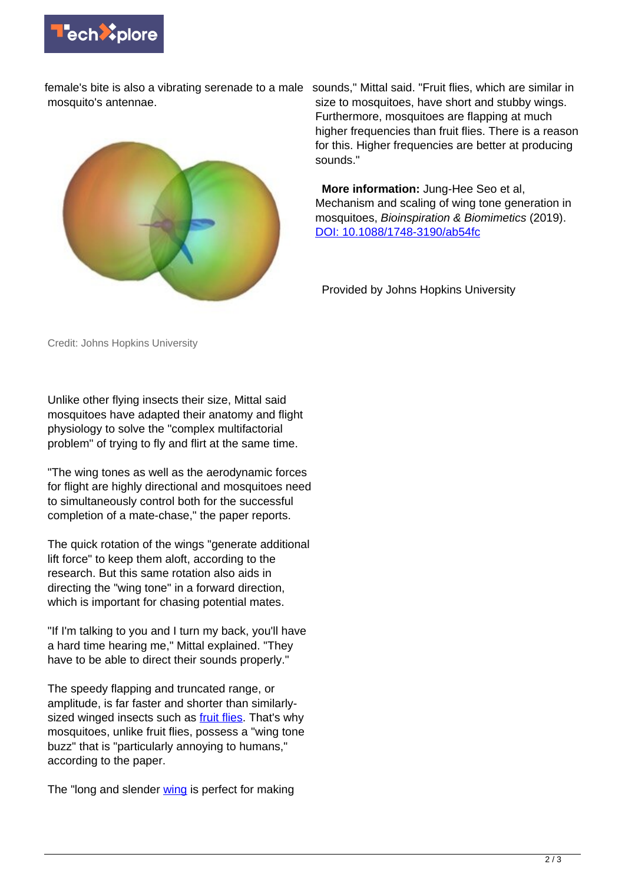

female's bite is also a vibrating serenade to a male sounds," Mittal said. "Fruit flies, which are similar in mosquito's antennae.



size to mosquitoes, have short and stubby wings. Furthermore, mosquitoes are flapping at much higher frequencies than fruit flies. There is a reason for this. Higher frequencies are better at producing sounds."

 **More information:** Jung-Hee Seo et al, Mechanism and scaling of wing tone generation in mosquitoes, Bioinspiration & Biomimetics (2019). [DOI: 10.1088/1748-3190/ab54fc](http://dx.doi.org/10.1088/1748-3190/ab54fc)

Provided by Johns Hopkins University

Credit: Johns Hopkins University

Unlike other flying insects their size, Mittal said mosquitoes have adapted their anatomy and flight physiology to solve the "complex multifactorial problem" of trying to fly and flirt at the same time.

"The wing tones as well as the aerodynamic forces for flight are highly directional and mosquitoes need to simultaneously control both for the successful completion of a mate-chase," the paper reports.

The quick rotation of the wings "generate additional lift force" to keep them aloft, according to the research. But this same rotation also aids in directing the "wing tone" in a forward direction, which is important for chasing potential mates.

"If I'm talking to you and I turn my back, you'll have a hard time hearing me," Mittal explained. "They have to be able to direct their sounds properly."

The speedy flapping and truncated range, or amplitude, is far faster and shorter than similarlysized winged insects such as [fruit flies](https://techxplore.com/tags/fruit+flies/). That's why mosquitoes, unlike fruit flies, possess a "wing tone buzz" that is "particularly annoying to humans," according to the paper.

The "long and slender [wing](https://techxplore.com/tags/wing/) is perfect for making